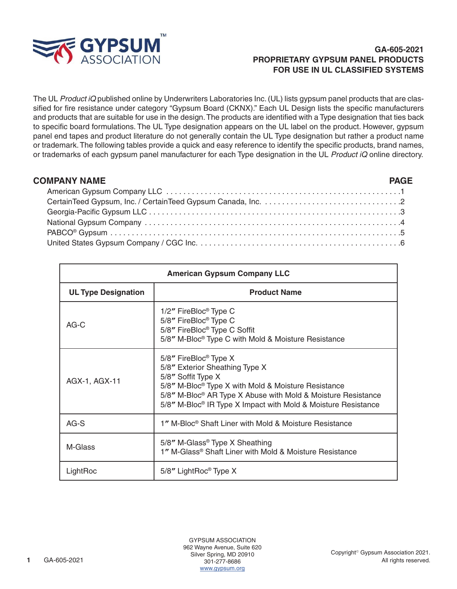

## **GA-605-2021 PROPRIETARY GYPSUM PANEL PRODUCTS FOR USE IN UL CLASSIFIED SYSTEMS**

The UL *Product iQ* published online by Underwriters Laboratories Inc. (UL) lists gypsum panel products that are classified for fire resistance under category "Gypsum Board (CKNX)." Each UL Design lists the specific manufacturers and products that are suitable for use in the design. The products are identified with a Type designation that ties back to specific board formulations. The UL Type designation appears on the UL label on the product. However, gypsum panel end tapes and product literature do not generally contain the UL Type designation but rather a product name or trademark. The following tables provide a quick and easy reference to identify the specific products, brand names, or trademarks of each gypsum panel manufacturer for each Type designation in the UL *Product iQ* online directory.

| <b>COMPANY NAME</b> |  |
|---------------------|--|
|                     |  |
|                     |  |
|                     |  |
|                     |  |
|                     |  |
|                     |  |

| <b>American Gypsum Company LLC</b> |                                                                                                                                                                                                                                                                                                                       |  |
|------------------------------------|-----------------------------------------------------------------------------------------------------------------------------------------------------------------------------------------------------------------------------------------------------------------------------------------------------------------------|--|
| <b>UL Type Designation</b>         | <b>Product Name</b>                                                                                                                                                                                                                                                                                                   |  |
| $AG-C$                             | 1/2" FireBloc <sup>®</sup> Type C<br>5/8" FireBloc <sup>®</sup> Type C<br>5/8" FireBloc <sup>®</sup> Type C Soffit<br>5/8" M-Bloc <sup>®</sup> Type C with Mold & Moisture Resistance                                                                                                                                 |  |
| AGX-1, AGX-11                      | 5/8" FireBloc <sup>®</sup> Type X<br>5/8" Exterior Sheathing Type X<br>5/8" Soffit Type X<br>5/8" M-Bloc <sup>®</sup> Type X with Mold & Moisture Resistance<br>5/8" M-Bloc <sup>®</sup> AR Type X Abuse with Mold & Moisture Resistance<br>5/8" M-Bloc <sup>®</sup> IR Type X Impact with Mold & Moisture Resistance |  |
| $AG-S$                             | 1" M-Bloc <sup>®</sup> Shaft Liner with Mold & Moisture Resistance                                                                                                                                                                                                                                                    |  |
| M-Glass                            | $5/8"$ M-Glass <sup>®</sup> Type X Sheathing<br>1" M-Glass <sup>®</sup> Shaft Liner with Mold & Moisture Resistance                                                                                                                                                                                                   |  |
| LightRoc                           | $5/8"$ LightRoc <sup>®</sup> Type X                                                                                                                                                                                                                                                                                   |  |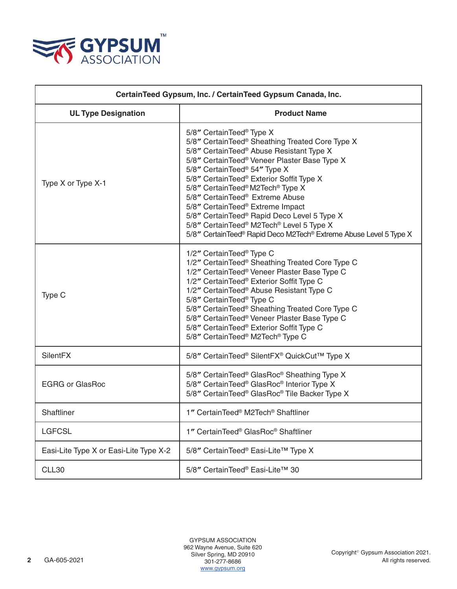

| CertainTeed Gypsum, Inc. / CertainTeed Gypsum Canada, Inc. |                                                                                                                                                                                                                                                                                                                                                                                                                                                                                                                                                                                |  |
|------------------------------------------------------------|--------------------------------------------------------------------------------------------------------------------------------------------------------------------------------------------------------------------------------------------------------------------------------------------------------------------------------------------------------------------------------------------------------------------------------------------------------------------------------------------------------------------------------------------------------------------------------|--|
| <b>UL Type Designation</b>                                 | <b>Product Name</b>                                                                                                                                                                                                                                                                                                                                                                                                                                                                                                                                                            |  |
| Type X or Type X-1                                         | 5/8" CertainTeed <sup>®</sup> Type X<br>5/8" CertainTeed® Sheathing Treated Core Type X<br>5/8" CertainTeed® Abuse Resistant Type X<br>5/8" CertainTeed® Veneer Plaster Base Type X<br>5/8" CertainTeed <sup>®</sup> 54" Type X<br>5/8" CertainTeed <sup>®</sup> Exterior Soffit Type X<br>5/8" CertainTeed® M2Tech® Type X<br>5/8" CertainTeed <sup>®</sup> Extreme Abuse<br>5/8" CertainTeed® Extreme Impact<br>5/8" CertainTeed® Rapid Deco Level 5 Type X<br>5/8" CertainTeed® M2Tech® Level 5 Type X<br>5/8" CertainTeed® Rapid Deco M2Tech® Extreme Abuse Level 5 Type X |  |
| Type C                                                     | 1/2" CertainTeed <sup>®</sup> Type C<br>1/2" CertainTeed® Sheathing Treated Core Type C<br>1/2" CertainTeed® Veneer Plaster Base Type C<br>1/2" CertainTeed® Exterior Soffit Type C<br>1/2" CertainTeed <sup>®</sup> Abuse Resistant Type C<br>5/8" CertainTeed® Type C<br>5/8" CertainTeed® Sheathing Treated Core Type C<br>5/8" CertainTeed® Veneer Plaster Base Type C<br>5/8" CertainTeed® Exterior Soffit Type C<br>5/8" CertainTeed <sup>®</sup> M2Tech <sup>®</sup> Type C                                                                                             |  |
| SilentFX                                                   | 5/8" CertainTeed® SilentFX® QuickCut™ Type X                                                                                                                                                                                                                                                                                                                                                                                                                                                                                                                                   |  |
| <b>EGRG or GlasRoc</b>                                     | 5/8" CertainTeed® GlasRoc® Sheathing Type X<br>5/8" CertainTeed® GlasRoc® Interior Type X<br>5/8" CertainTeed® GlasRoc® Tile Backer Type X                                                                                                                                                                                                                                                                                                                                                                                                                                     |  |
| Shaftliner                                                 | 1" CertainTeed® M2Tech® Shaftliner                                                                                                                                                                                                                                                                                                                                                                                                                                                                                                                                             |  |
| <b>LGFCSL</b>                                              | 1" CertainTeed® GlasRoc® Shaftliner                                                                                                                                                                                                                                                                                                                                                                                                                                                                                                                                            |  |
| Easi-Lite Type X or Easi-Lite Type X-2                     | 5/8" CertainTeed <sup>®</sup> Easi-Lite™ Type X                                                                                                                                                                                                                                                                                                                                                                                                                                                                                                                                |  |
| CLL30                                                      | 5/8" CertainTeed® Easi-Lite™ 30                                                                                                                                                                                                                                                                                                                                                                                                                                                                                                                                                |  |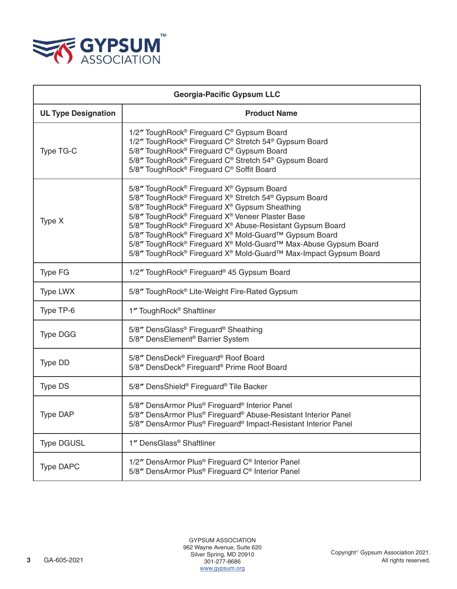

| <b>Georgia-Pacific Gypsum LLC</b> |                                                                                                                                                                                                                                                                                                                                                                                                                                                                                                                                                                      |  |
|-----------------------------------|----------------------------------------------------------------------------------------------------------------------------------------------------------------------------------------------------------------------------------------------------------------------------------------------------------------------------------------------------------------------------------------------------------------------------------------------------------------------------------------------------------------------------------------------------------------------|--|
| <b>UL Type Designation</b>        | <b>Product Name</b>                                                                                                                                                                                                                                                                                                                                                                                                                                                                                                                                                  |  |
| Type TG-C                         | 1/2" ToughRock® Fireguard C® Gypsum Board<br>1/2" ToughRock® Fireguard C® Stretch 54® Gypsum Board<br>5/8" ToughRock® Fireguard C® Gypsum Board<br>5/8" ToughRock <sup>®</sup> Fireguard C® Stretch 54® Gypsum Board<br>5/8" ToughRock <sup>®</sup> Fireguard C <sup>®</sup> Soffit Board                                                                                                                                                                                                                                                                            |  |
| Type X                            | 5/8" ToughRock <sup>®</sup> Fireguard X <sup>®</sup> Gypsum Board<br>5/8" ToughRock® Fireguard X® Stretch 54® Gypsum Board<br>5/8" ToughRock® Fireguard X® Gypsum Sheathing<br>5/8" ToughRock <sup>®</sup> Fireguard X <sup>®</sup> Veneer Plaster Base<br>5/8" ToughRock <sup>®</sup> Fireguard X <sup>®</sup> Abuse-Resistant Gypsum Board<br>5/8" ToughRock® Fireguard X® Mold-Guard™ Gypsum Board<br>5/8" ToughRock® Fireguard X® Mold-Guard™ Max-Abuse Gypsum Board<br>5/8" ToughRock <sup>®</sup> Fireguard X <sup>®</sup> Mold-Guard™ Max-Impact Gypsum Board |  |
| Type FG                           | 1/2" ToughRock® Fireguard® 45 Gypsum Board                                                                                                                                                                                                                                                                                                                                                                                                                                                                                                                           |  |
| <b>Type LWX</b>                   | 5/8" ToughRock® Lite-Weight Fire-Rated Gypsum                                                                                                                                                                                                                                                                                                                                                                                                                                                                                                                        |  |
| Type TP-6                         | 1" ToughRock <sup>®</sup> Shaftliner                                                                                                                                                                                                                                                                                                                                                                                                                                                                                                                                 |  |
| <b>Type DGG</b>                   | 5/8" DensGlass® Fireguard® Sheathing<br>5/8" DensElement <sup>®</sup> Barrier System                                                                                                                                                                                                                                                                                                                                                                                                                                                                                 |  |
| Type DD                           | 5/8" DensDeck <sup>®</sup> Fireguard <sup>®</sup> Roof Board<br>5/8" DensDeck® Fireguard® Prime Roof Board                                                                                                                                                                                                                                                                                                                                                                                                                                                           |  |
| <b>Type DS</b>                    | 5/8" DensShield® Fireguard® Tile Backer                                                                                                                                                                                                                                                                                                                                                                                                                                                                                                                              |  |
| Type DAP                          | 5/8" DensArmor Plus <sup>®</sup> Fireguard <sup>®</sup> Interior Panel<br>5/8" DensArmor Plus® Fireguard® Abuse-Resistant Interior Panel<br>5/8" DensArmor Plus® Fireguard® Impact-Resistant Interior Panel                                                                                                                                                                                                                                                                                                                                                          |  |
| <b>Type DGUSL</b>                 | 1" DensGlass® Shaftliner                                                                                                                                                                                                                                                                                                                                                                                                                                                                                                                                             |  |
| <b>Type DAPC</b>                  | 1/2" DensArmor Plus <sup>®</sup> Fireguard C <sup>®</sup> Interior Panel<br>5/8" DensArmor Plus® Fireguard C® Interior Panel                                                                                                                                                                                                                                                                                                                                                                                                                                         |  |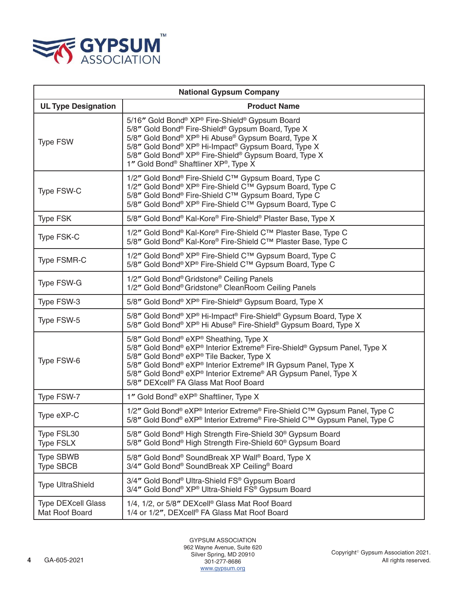

| <b>National Gypsum Company</b>              |                                                                                                                                                                                                                                                                                                                                                         |
|---------------------------------------------|---------------------------------------------------------------------------------------------------------------------------------------------------------------------------------------------------------------------------------------------------------------------------------------------------------------------------------------------------------|
| <b>UL Type Designation</b>                  | <b>Product Name</b>                                                                                                                                                                                                                                                                                                                                     |
| <b>Type FSW</b>                             | 5/16" Gold Bond® XP® Fire-Shield® Gypsum Board<br>5/8" Gold Bond® Fire-Shield® Gypsum Board, Type X<br>5/8" Gold Bond® XP® Hi Abuse® Gypsum Board, Type X<br>5/8" Gold Bond® XP® Hi-Impact® Gypsum Board, Type X<br>5/8" Gold Bond® XP® Fire-Shield® Gypsum Board, Type X<br>1" Gold Bond® Shaftliner XP®, Type X                                       |
| Type FSW-C                                  | 1/2" Gold Bond® Fire-Shield C™ Gypsum Board, Type C<br>1/2" Gold Bond® XP® Fire-Shield C™ Gypsum Board, Type C<br>5/8" Gold Bond® Fire-Shield C™ Gypsum Board, Type C<br>5/8" Gold Bond® XP® Fire-Shield C™ Gypsum Board, Type C                                                                                                                        |
| <b>Type FSK</b>                             | 5/8" Gold Bond® Kal-Kore® Fire-Shield® Plaster Base, Type X                                                                                                                                                                                                                                                                                             |
| Type FSK-C                                  | 1/2" Gold Bond® Kal-Kore® Fire-Shield C™ Plaster Base, Type C<br>5/8" Gold Bond® Kal-Kore® Fire-Shield C™ Plaster Base, Type C                                                                                                                                                                                                                          |
| <b>Type FSMR-C</b>                          | 1/2" Gold Bond® XP® Fire-Shield C™ Gypsum Board, Type C<br>5/8" Gold Bond® XP® Fire-Shield C™ Gypsum Board, Type C                                                                                                                                                                                                                                      |
| Type FSW-G                                  | 1/2" Gold Bond® Gridstone® Ceiling Panels<br>1/2" Gold Bond® Gridstone® CleanRoom Ceiling Panels                                                                                                                                                                                                                                                        |
| Type FSW-3                                  | 5/8" Gold Bond® XP® Fire-Shield® Gypsum Board, Type X                                                                                                                                                                                                                                                                                                   |
| Type FSW-5                                  | 5/8" Gold Bond® XP® Hi-Impact® Fire-Shield® Gypsum Board, Type X<br>5/8" Gold Bond® XP® Hi Abuse® Fire-Shield® Gypsum Board, Type X                                                                                                                                                                                                                     |
| Type FSW-6                                  | 5/8" Gold Bond® eXP® Sheathing, Type X<br>5/8" Gold Bond® eXP® Interior Extreme® Fire-Shield® Gypsum Panel, Type X<br>5/8" Gold Bond® eXP® Tile Backer, Type X<br>5/8" Gold Bond® eXP® Interior Extreme® IR Gypsum Panel, Type X<br>5/8" Gold Bond® eXP® Interior Extreme® AR Gypsum Panel, Type X<br>5/8" DEXcell <sup>®</sup> FA Glass Mat Roof Board |
| Type FSW-7                                  | 1" Gold Bond <sup>®</sup> eXP <sup>®</sup> Shaftliner, Type X                                                                                                                                                                                                                                                                                           |
| Type eXP-C                                  | 1/2" Gold Bond® eXP® Interior Extreme® Fire-Shield C™ Gypsum Panel, Type C<br>5/8" Gold Bond® eXP® Interior Extreme® Fire-Shield C™ Gypsum Panel, Type C                                                                                                                                                                                                |
| Type FSL30<br><b>Type FSLX</b>              | 5/8" Gold Bond® High Strength Fire-Shield 30® Gypsum Board<br>5/8" Gold Bond <sup>®</sup> High Strength Fire-Shield 60 <sup>®</sup> Gypsum Board                                                                                                                                                                                                        |
| <b>Type SBWB</b><br><b>Type SBCB</b>        | 5/8" Gold Bond® SoundBreak XP Wall® Board, Type X<br>3/4" Gold Bond® SoundBreak XP Ceiling® Board                                                                                                                                                                                                                                                       |
| <b>Type UltraShield</b>                     | 3/4" Gold Bond <sup>®</sup> Ultra-Shield FS® Gypsum Board<br>3/4" Gold Bond® XP® Ultra-Shield FS® Gypsum Board                                                                                                                                                                                                                                          |
| <b>Type DEXcell Glass</b><br>Mat Roof Board | 1/4, 1/2, or 5/8" DEXcell <sup>®</sup> Glass Mat Roof Board<br>1/4 or 1/2", DEXcell® FA Glass Mat Roof Board                                                                                                                                                                                                                                            |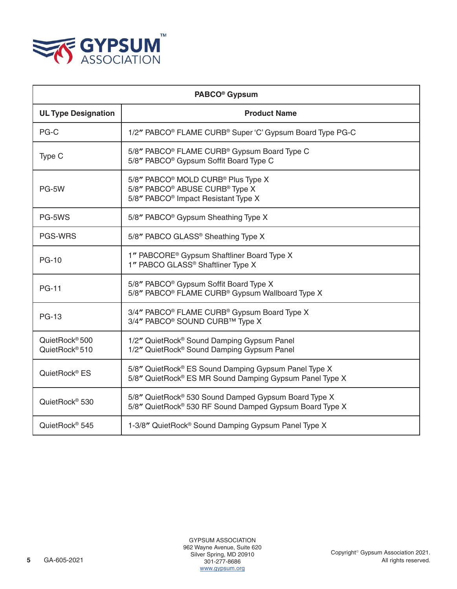

| PABCO <sup>®</sup> Gypsum                                |                                                                                                                                                                         |
|----------------------------------------------------------|-------------------------------------------------------------------------------------------------------------------------------------------------------------------------|
| <b>UL Type Designation</b>                               | <b>Product Name</b>                                                                                                                                                     |
| PG-C                                                     | 1/2" PABCO <sup>®</sup> FLAME CURB <sup>®</sup> Super 'C' Gypsum Board Type PG-C                                                                                        |
| Type C                                                   | 5/8" PABCO <sup>®</sup> FLAME CURB <sup>®</sup> Gypsum Board Type C<br>5/8" PABCO <sup>®</sup> Gypsum Soffit Board Type C                                               |
| PG-5W                                                    | 5/8" PABCO <sup>®</sup> MOLD CURB <sup>®</sup> Plus Type X<br>5/8" PABCO <sup>®</sup> ABUSE CURB <sup>®</sup> Type X<br>5/8" PABCO <sup>®</sup> Impact Resistant Type X |
| PG-5WS                                                   | 5/8" PABCO <sup>®</sup> Gypsum Sheathing Type X                                                                                                                         |
| <b>PGS-WRS</b>                                           | 5/8" PABCO GLASS® Sheathing Type X                                                                                                                                      |
| <b>PG-10</b>                                             | 1" PABCORE <sup>®</sup> Gypsum Shaftliner Board Type X<br>1" PABCO GLASS <sup>®</sup> Shaftliner Type X                                                                 |
| <b>PG-11</b>                                             | 5/8" PABCO <sup>®</sup> Gypsum Soffit Board Type X<br>5/8" PABCO <sup>®</sup> FLAME CURB <sup>®</sup> Gypsum Wallboard Type X                                           |
| <b>PG-13</b>                                             | 3/4" PABCO <sup>®</sup> FLAME CURB <sup>®</sup> Gypsum Board Type X<br>3/4" PABCO <sup>®</sup> SOUND CURB™ Type X                                                       |
| QuietRock <sup>®</sup> 500<br>QuietRock <sup>®</sup> 510 | 1/2" QuietRock <sup>®</sup> Sound Damping Gypsum Panel<br>1/2" QuietRock® Sound Damping Gypsum Panel                                                                    |
| QuietRock <sup>®</sup> ES                                | 5/8" QuietRock® ES Sound Damping Gypsum Panel Type X<br>5/8" QuietRock® ES MR Sound Damping Gypsum Panel Type X                                                         |
| QuietRock <sup>®</sup> 530                               | 5/8" QuietRock® 530 Sound Damped Gypsum Board Type X<br>5/8" QuietRock® 530 RF Sound Damped Gypsum Board Type X                                                         |
| QuietRock <sup>®</sup> 545                               | 1-3/8" QuietRock <sup>®</sup> Sound Damping Gypsum Panel Type X                                                                                                         |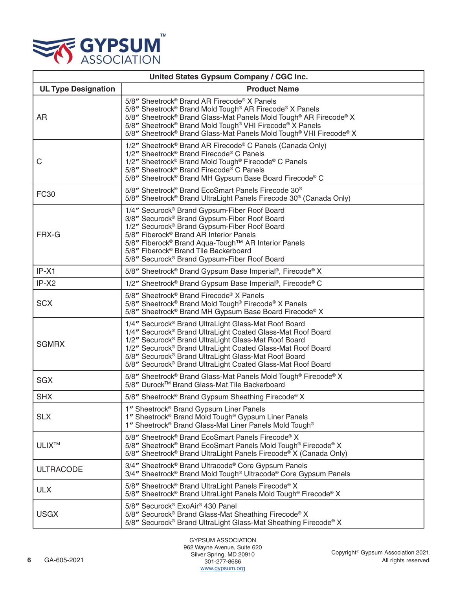

| United States Gypsum Company / CGC Inc. |                                                                                                                                                                                                                                                                                                                                                                                                                 |  |
|-----------------------------------------|-----------------------------------------------------------------------------------------------------------------------------------------------------------------------------------------------------------------------------------------------------------------------------------------------------------------------------------------------------------------------------------------------------------------|--|
| <b>UL Type Designation</b>              | <b>Product Name</b>                                                                                                                                                                                                                                                                                                                                                                                             |  |
| AR                                      | 5/8" Sheetrock® Brand AR Firecode® X Panels<br>5/8" Sheetrock <sup>®</sup> Brand Mold Tough <sup>®</sup> AR Firecode <sup>®</sup> X Panels<br>5/8" Sheetrock® Brand Glass-Mat Panels Mold Tough® AR Firecode® X<br>5/8" Sheetrock® Brand Mold Tough® VHI Firecode® X Panels<br>5/8" Sheetrock® Brand Glass-Mat Panels Mold Tough® VHI Firecode® X                                                               |  |
| C                                       | 1/2" Sheetrock <sup>®</sup> Brand AR Firecode® C Panels (Canada Only)<br>1/2" Sheetrock® Brand Firecode® C Panels<br>1/2" Sheetrock® Brand Mold Tough® Firecode® C Panels<br>5/8" Sheetrock <sup>®</sup> Brand Firecode® C Panels<br>5/8" Sheetrock® Brand MH Gypsum Base Board Firecode® C                                                                                                                     |  |
| <b>FC30</b>                             | 5/8" Sheetrock <sup>®</sup> Brand EcoSmart Panels Firecode 30 <sup>®</sup><br>5/8" Sheetrock® Brand UltraLight Panels Firecode 30® (Canada Only)                                                                                                                                                                                                                                                                |  |
| FRX-G                                   | 1/4" Securock <sup>®</sup> Brand Gypsum-Fiber Roof Board<br>3/8" Securock® Brand Gypsum-Fiber Roof Board<br>1/2" Securock <sup>®</sup> Brand Gypsum-Fiber Roof Board<br>5/8" Fiberock <sup>®</sup> Brand AR Interior Panels<br>5/8" Fiberock <sup>®</sup> Brand Aqua-Tough <sup>™</sup> AR Interior Panels<br>5/8" Fiberock <sup>®</sup> Brand Tile Backerboard<br>5/8" Securock® Brand Gypsum-Fiber Roof Board |  |
| $IP-X1$                                 | 5/8" Sheetrock <sup>®</sup> Brand Gypsum Base Imperial®, Firecode® X                                                                                                                                                                                                                                                                                                                                            |  |
| IP-X2                                   | 1/2" Sheetrock® Brand Gypsum Base Imperial®, Firecode® C                                                                                                                                                                                                                                                                                                                                                        |  |
| <b>SCX</b>                              | 5/8" Sheetrock® Brand Firecode® X Panels<br>5/8" Sheetrock® Brand Mold Tough® Firecode® X Panels<br>5/8" Sheetrock® Brand MH Gypsum Base Board Firecode® X                                                                                                                                                                                                                                                      |  |
| <b>SGMRX</b>                            | 1/4" Securock® Brand UltraLight Glass-Mat Roof Board<br>1/4" Securock® Brand UltraLight Coated Glass-Mat Roof Board<br>1/2" Securock <sup>®</sup> Brand UltraLight Glass-Mat Roof Board<br>1/2" Securock® Brand UltraLight Coated Glass-Mat Roof Board<br>5/8" Securock <sup>®</sup> Brand UltraLight Glass-Mat Roof Board<br>5/8" Securock® Brand UltraLight Coated Glass-Mat Roof Board                       |  |
| <b>SGX</b>                              | 5/8" Sheetrock <sup>®</sup> Brand Glass-Mat Panels Mold Tough <sup>®</sup> Firecode® X<br>5/8" Durock™ Brand Glass-Mat Tile Backerboard                                                                                                                                                                                                                                                                         |  |
| <b>SHX</b>                              | 5/8" Sheetrock® Brand Gypsum Sheathing Firecode® X                                                                                                                                                                                                                                                                                                                                                              |  |
| <b>SLX</b>                              | 1" Sheetrock® Brand Gypsum Liner Panels<br>1" Sheetrock <sup>®</sup> Brand Mold Tough <sup>®</sup> Gypsum Liner Panels<br>1" Sheetrock <sup>®</sup> Brand Glass-Mat Liner Panels Mold Tough <sup>®</sup>                                                                                                                                                                                                        |  |
| <b>ULIX<sup>TM</sup></b>                | 5/8" Sheetrock® Brand EcoSmart Panels Firecode® X<br>5/8" Sheetrock® Brand EcoSmart Panels Mold Tough® Firecode® X<br>5/8" Sheetrock® Brand UltraLight Panels Firecode® X (Canada Only)                                                                                                                                                                                                                         |  |
| <b>ULTRACODE</b>                        | 3/4" Sheetrock <sup>®</sup> Brand Ultracode® Core Gypsum Panels<br>3/4" Sheetrock® Brand Mold Tough® Ultracode® Core Gypsum Panels                                                                                                                                                                                                                                                                              |  |
| <b>ULX</b>                              | 5/8" Sheetrock® Brand UltraLight Panels Firecode® X<br>5/8" Sheetrock <sup>®</sup> Brand UltraLight Panels Mold Tough <sup>®</sup> Firecode <sup>®</sup> X                                                                                                                                                                                                                                                      |  |
| <b>USGX</b>                             | 5/8" Securock® ExoAir® 430 Panel<br>5/8" Securock <sup>®</sup> Brand Glass-Mat Sheathing Firecode® X<br>5/8" Securock® Brand UltraLight Glass-Mat Sheathing Firecode® X                                                                                                                                                                                                                                         |  |